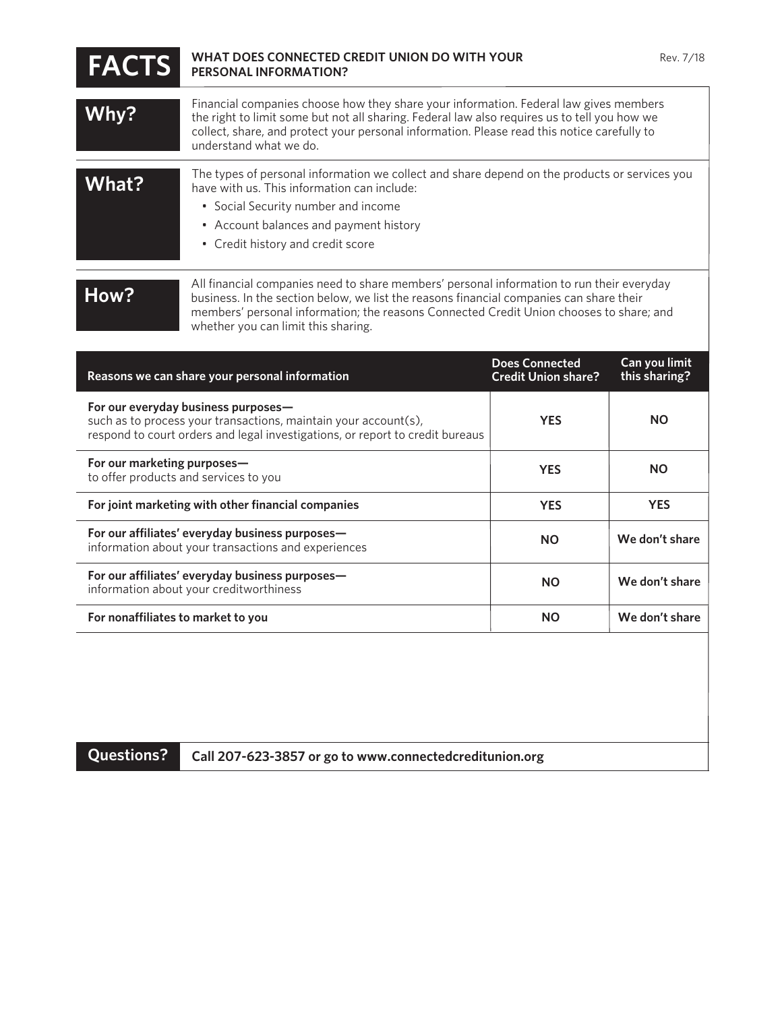| <b>FACTS</b>                                                                                                                                                                            | WHAT DOES CONNECTED CREDIT UNION DO WITH YOUR<br><b>PERSONAL INFORMATION?</b>                                                                                                                                                                                                                                          |                                                     | Rev. 7/18                      |
|-----------------------------------------------------------------------------------------------------------------------------------------------------------------------------------------|------------------------------------------------------------------------------------------------------------------------------------------------------------------------------------------------------------------------------------------------------------------------------------------------------------------------|-----------------------------------------------------|--------------------------------|
| Why?                                                                                                                                                                                    | Financial companies choose how they share your information. Federal law gives members<br>the right to limit some but not all sharing. Federal law also requires us to tell you how we<br>collect, share, and protect your personal information. Please read this notice carefully to<br>understand what we do.         |                                                     |                                |
| What?                                                                                                                                                                                   | The types of personal information we collect and share depend on the products or services you<br>have with us. This information can include:<br>• Social Security number and income<br>• Account balances and payment history<br>• Credit history and credit score                                                     |                                                     |                                |
| How?                                                                                                                                                                                    | All financial companies need to share members' personal information to run their everyday<br>business. In the section below, we list the reasons financial companies can share their<br>members' personal information; the reasons Connected Credit Union chooses to share; and<br>whether you can limit this sharing. |                                                     |                                |
| Reasons we can share your personal information                                                                                                                                          |                                                                                                                                                                                                                                                                                                                        | <b>Does Connected</b><br><b>Credit Union share?</b> | Can you limit<br>this sharing? |
| For our everyday business purposes-<br>such as to process your transactions, maintain your account(s),<br>respond to court orders and legal investigations, or report to credit bureaus |                                                                                                                                                                                                                                                                                                                        | <b>YES</b>                                          | <b>NO</b>                      |

**YES**

**NO**

**YES**

**We don't share**

**We don't share**

**We don't share**

**YES**

**NO**

**NO**

**NO**

**For our marketing purposes** to offer products and services to you

**For joint marketing with other financial companies**

**For our affiliates' everyday business purposes** information about your transactions and experiences

**For our affiliates' everyday business purposes—**

information about your creditworthiness

**For nonaffiliates to market to you**

**Questions? Call 207-623-3857 or go to www.connectedcreditunion.org**